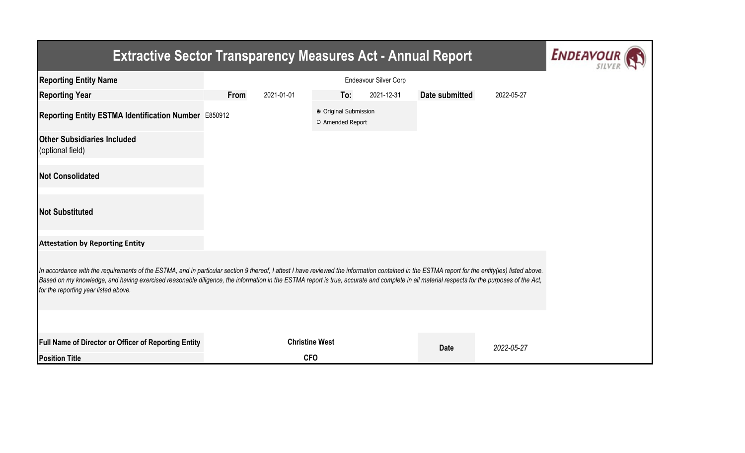## **Extractive Sector Transparency Measures Act - Annual Report**



| <b>Reporting Entity Name</b>                                                                                                                                                                                                                                                                                                                                                                                                          | Endeavour Silver Corp |            |                                           |            |                |            |  |  |  |
|---------------------------------------------------------------------------------------------------------------------------------------------------------------------------------------------------------------------------------------------------------------------------------------------------------------------------------------------------------------------------------------------------------------------------------------|-----------------------|------------|-------------------------------------------|------------|----------------|------------|--|--|--|
| <b>Reporting Year</b>                                                                                                                                                                                                                                                                                                                                                                                                                 | <b>From</b>           | 2021-01-01 | To:                                       | 2021-12-31 | Date submitted | 2022-05-27 |  |  |  |
| Reporting Entity ESTMA Identification Number E850912                                                                                                                                                                                                                                                                                                                                                                                  |                       |            | ● Original Submission<br>O Amended Report |            |                |            |  |  |  |
| <b>Other Subsidiaries Included</b><br>(optional field)                                                                                                                                                                                                                                                                                                                                                                                |                       |            |                                           |            |                |            |  |  |  |
| <b>Not Consolidated</b>                                                                                                                                                                                                                                                                                                                                                                                                               |                       |            |                                           |            |                |            |  |  |  |
| <b>Not Substituted</b>                                                                                                                                                                                                                                                                                                                                                                                                                |                       |            |                                           |            |                |            |  |  |  |
| <b>Attestation by Reporting Entity</b>                                                                                                                                                                                                                                                                                                                                                                                                |                       |            |                                           |            |                |            |  |  |  |
| In accordance with the requirements of the ESTMA, and in particular section 9 thereof, I attest I have reviewed the information contained in the ESTMA report for the entity(ies) listed above.<br>Based on my knowledge, and having exercised reasonable diligence, the information in the ESTMA report is true, accurate and complete in all material respects for the purposes of the Act,<br>for the reporting year listed above. |                       |            |                                           |            |                |            |  |  |  |
|                                                                                                                                                                                                                                                                                                                                                                                                                                       |                       |            |                                           |            |                |            |  |  |  |
| Full Name of Director or Officer of Reporting Entity                                                                                                                                                                                                                                                                                                                                                                                  |                       |            | <b>Christine West</b>                     |            | <b>Date</b>    | 2022-05-27 |  |  |  |
| <b>Position Title</b>                                                                                                                                                                                                                                                                                                                                                                                                                 |                       |            | <b>CFO</b>                                |            |                |            |  |  |  |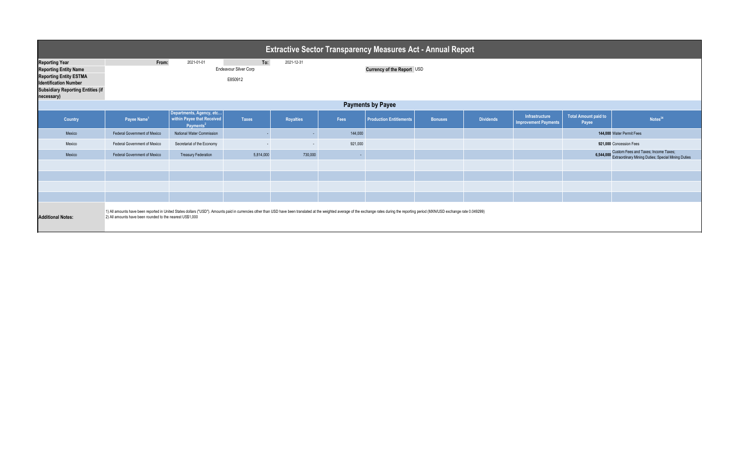| <b>Extractive Sector Transparency Measures Act - Annual Report</b>                                                                                                                                                                                                                                                      |                                                                                                            |                                                                                 |              |                  |            |                                |                |                  |                                               |                               |                                                                                                      |
|-------------------------------------------------------------------------------------------------------------------------------------------------------------------------------------------------------------------------------------------------------------------------------------------------------------------------|------------------------------------------------------------------------------------------------------------|---------------------------------------------------------------------------------|--------------|------------------|------------|--------------------------------|----------------|------------------|-----------------------------------------------|-------------------------------|------------------------------------------------------------------------------------------------------|
| <b>Reporting Year</b><br><b>Reporting Entity Name</b><br><b>Reporting Entity ESTMA</b><br><b>Identification Number</b><br><b>Subsidiary Reporting Entities (if</b><br>necessary)                                                                                                                                        | From:<br>To:<br>2021-01-01<br>2021-12-31<br>Currency of the Report USD<br>Endeavour Silver Corp<br>E850912 |                                                                                 |              |                  |            |                                |                |                  |                                               |                               |                                                                                                      |
| <b>Payments by Payee</b>                                                                                                                                                                                                                                                                                                |                                                                                                            |                                                                                 |              |                  |            |                                |                |                  |                                               |                               |                                                                                                      |
| Country                                                                                                                                                                                                                                                                                                                 | Payee Name <sup>1</sup>                                                                                    | Departments, Agency, etc<br>within Payee that Received<br>Payments <sup>2</sup> | <b>Taxes</b> | <b>Royalties</b> | Fees       | <b>Production Entitlements</b> | <b>Bonuses</b> | <b>Dividends</b> | Infrastructure<br><b>Improvement Payments</b> | Total Amount paid to<br>Payee | Notes <sup>34</sup>                                                                                  |
| Mexico                                                                                                                                                                                                                                                                                                                  | Federal Government of Mexico                                                                               | National Water Commission                                                       |              |                  | 144,000    |                                |                |                  |                                               |                               | 144,000 Water Permit Fees                                                                            |
| Mexico                                                                                                                                                                                                                                                                                                                  | Federal Government of Mexico                                                                               | Secretariat of the Economy                                                      |              | $\sim$           | 921,000    |                                |                |                  |                                               |                               | 921,000 Concession Fees                                                                              |
| Mexico                                                                                                                                                                                                                                                                                                                  | Federal Government of Mexico                                                                               | <b>Treasury Federation</b>                                                      | 5,814,000    | 730,000          | <b>COL</b> |                                |                |                  |                                               |                               | 6,544,000 Custom Fees and Taxes; Income Taxes;<br>Extraordinary Mining Duties; Special Mining Duties |
|                                                                                                                                                                                                                                                                                                                         |                                                                                                            |                                                                                 |              |                  |            |                                |                |                  |                                               |                               |                                                                                                      |
|                                                                                                                                                                                                                                                                                                                         |                                                                                                            |                                                                                 |              |                  |            |                                |                |                  |                                               |                               |                                                                                                      |
|                                                                                                                                                                                                                                                                                                                         |                                                                                                            |                                                                                 |              |                  |            |                                |                |                  |                                               |                               |                                                                                                      |
|                                                                                                                                                                                                                                                                                                                         |                                                                                                            |                                                                                 |              |                  |            |                                |                |                  |                                               |                               |                                                                                                      |
| 1) All amounts have been reported in United States dollars ("USD"). Amounts paid in currencies other than USD have been translated at the weighted average of the exchange rates during the reporting period (MXN/USD exchange<br><b>Additional Notes:</b><br>2) All amounts have been rounded to the nearest US\$1,000 |                                                                                                            |                                                                                 |              |                  |            |                                |                |                  |                                               |                               |                                                                                                      |